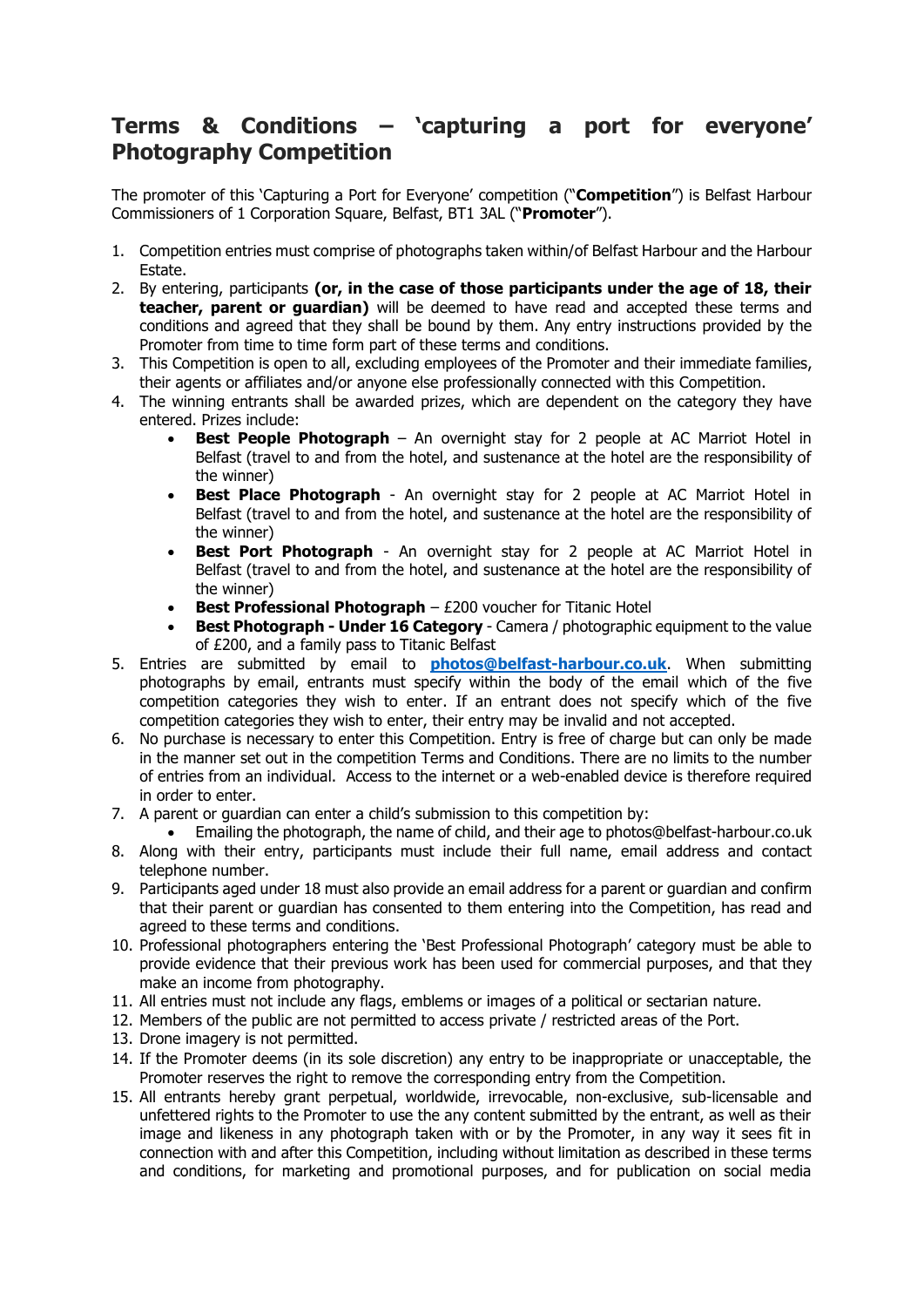## **Terms & Conditions – 'capturing a port for everyone' Photography Competition**

The promoter of this 'Capturing a Port for Everyone' competition ("**Competition**") is Belfast Harbour Commissioners of 1 Corporation Square, Belfast, BT1 3AL ("**Promoter**").

- 1. Competition entries must comprise of photographs taken within/of Belfast Harbour and the Harbour Estate.
- 2. By entering, participants **(or, in the case of those participants under the age of 18, their teacher, parent or guardian)** will be deemed to have read and accepted these terms and conditions and agreed that they shall be bound by them. Any entry instructions provided by the Promoter from time to time form part of these terms and conditions.
- 3. This Competition is open to all, excluding employees of the Promoter and their immediate families, their agents or affiliates and/or anyone else professionally connected with this Competition.
- 4. The winning entrants shall be awarded prizes, which are dependent on the category they have entered. Prizes include:
	- **Best People Photograph** An overnight stay for 2 people at AC Marriot Hotel in Belfast (travel to and from the hotel, and sustenance at the hotel are the responsibility of the winner)
	- **Best Place Photograph**  An overnight stay for 2 people at AC Marriot Hotel in Belfast (travel to and from the hotel, and sustenance at the hotel are the responsibility of the winner)
	- **Best Port Photograph** An overnight stay for 2 people at AC Marriot Hotel in Belfast (travel to and from the hotel, and sustenance at the hotel are the responsibility of the winner)
	- **Best Professional Photograph** £200 voucher for Titanic Hotel
	- **Best Photograph - Under 16 Category**  Camera / photographic equipment to the value of £200, and a family pass to Titanic Belfast
- 5. Entries are submitted by email to **[photos@belfast-harbour.co.uk](mailto:photos@belfast-harbour.co.uk)**. When submitting photographs by email, entrants must specify within the body of the email which of the five competition categories they wish to enter. If an entrant does not specify which of the five competition categories they wish to enter, their entry may be invalid and not accepted.
- 6. No purchase is necessary to enter this Competition. Entry is free of charge but can only be made in the manner set out in the competition Terms and Conditions. There are no limits to the number of entries from an individual. Access to the internet or a web-enabled device is therefore required in order to enter.
- 7. A parent or guardian can enter a child's submission to this competition by:
- Emailing the photograph, the name of child, and their age to photos@belfast-harbour.co.uk 8. Along with their entry, participants must include their full name, email address and contact telephone number.
- 9. Participants aged under 18 must also provide an email address for a parent or guardian and confirm that their parent or guardian has consented to them entering into the Competition, has read and agreed to these terms and conditions.
- 10. Professional photographers entering the 'Best Professional Photograph' category must be able to provide evidence that their previous work has been used for commercial purposes, and that they make an income from photography.
- 11. All entries must not include any flags, emblems or images of a political or sectarian nature.
- 12. Members of the public are not permitted to access private / restricted areas of the Port.
- 13. Drone imagery is not permitted.
- 14. If the Promoter deems (in its sole discretion) any entry to be inappropriate or unacceptable, the Promoter reserves the right to remove the corresponding entry from the Competition.
- 15. All entrants hereby grant perpetual, worldwide, irrevocable, non-exclusive, sub-licensable and unfettered rights to the Promoter to use the any content submitted by the entrant, as well as their image and likeness in any photograph taken with or by the Promoter, in any way it sees fit in connection with and after this Competition, including without limitation as described in these terms and conditions, for marketing and promotional purposes, and for publication on social media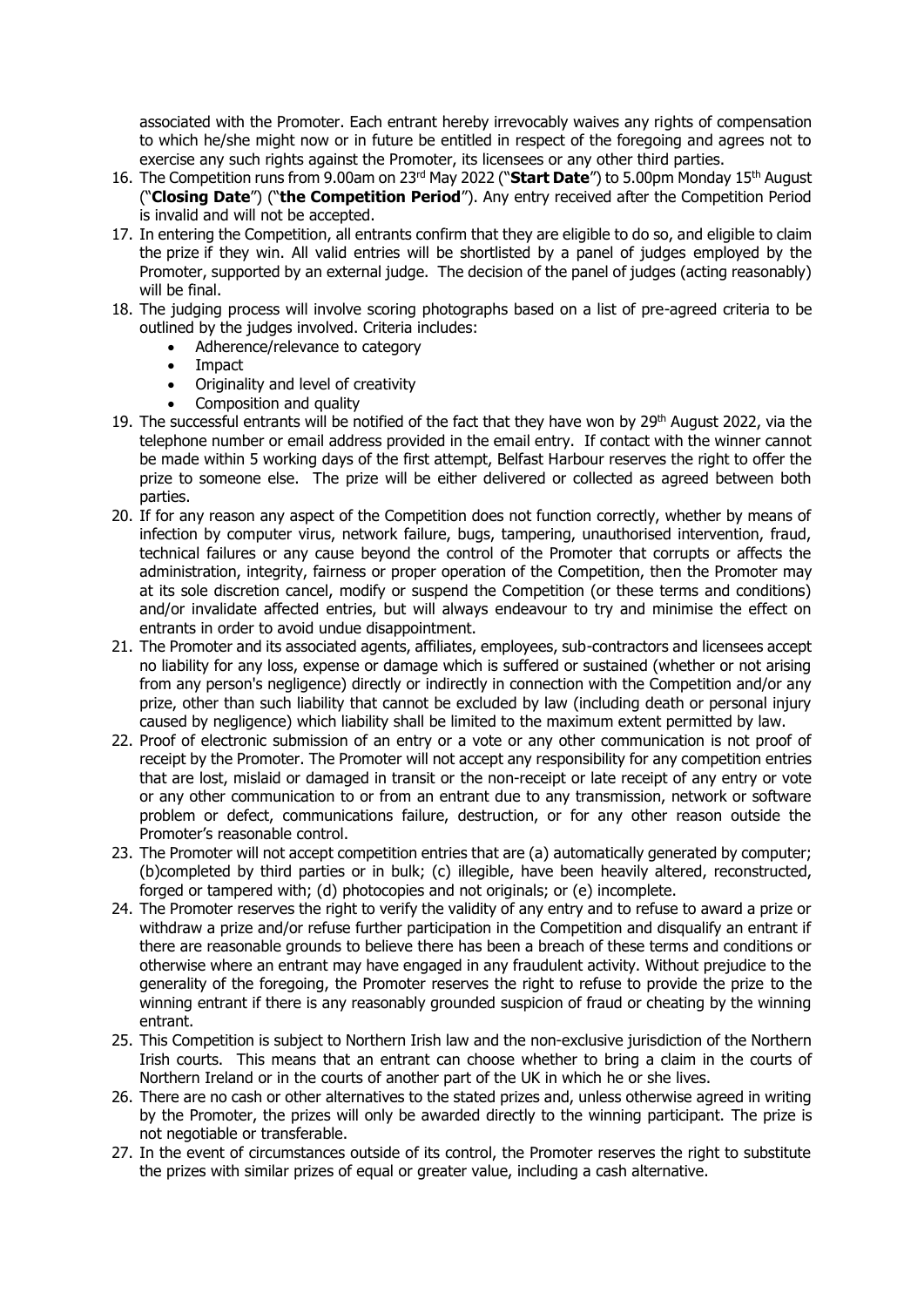associated with the Promoter. Each entrant hereby irrevocably waives any rights of compensation to which he/she might now or in future be entitled in respect of the foregoing and agrees not to exercise any such rights against the Promoter, its licensees or any other third parties.

- 16. The Competition runs from 9.00am on 23rd May 2022 ("**Start Date**") to 5.00pm Monday 15th August ("**Closing Date**") ("**the Competition Period**"). Any entry received after the Competition Period is invalid and will not be accepted.
- 17. In entering the Competition, all entrants confirm that they are eligible to do so, and eligible to claim the prize if they win. All valid entries will be shortlisted by a panel of judges employed by the Promoter, supported by an external judge. The decision of the panel of judges (acting reasonably) will be final.
- 18. The judging process will involve scoring photographs based on a list of pre-agreed criteria to be outlined by the judges involved. Criteria includes:
	- Adherence/relevance to category
	- **Impact**
	- Originality and level of creativity
	- Composition and quality
- 19. The successful entrants will be notified of the fact that they have won by 29<sup>th</sup> August 2022, via the telephone number or email address provided in the email entry. If contact with the winner cannot be made within 5 working days of the first attempt, Belfast Harbour reserves the right to offer the prize to someone else. The prize will be either delivered or collected as agreed between both parties.
- 20. If for any reason any aspect of the Competition does not function correctly, whether by means of infection by computer virus, network failure, bugs, tampering, unauthorised intervention, fraud, technical failures or any cause beyond the control of the Promoter that corrupts or affects the administration, integrity, fairness or proper operation of the Competition, then the Promoter may at its sole discretion cancel, modify or suspend the Competition (or these terms and conditions) and/or invalidate affected entries, but will always endeavour to try and minimise the effect on entrants in order to avoid undue disappointment.
- 21. The Promoter and its associated agents, affiliates, employees, sub-contractors and licensees accept no liability for any loss, expense or damage which is suffered or sustained (whether or not arising from any person's negligence) directly or indirectly in connection with the Competition and/or any prize, other than such liability that cannot be excluded by law (including death or personal injury caused by negligence) which liability shall be limited to the maximum extent permitted by law.
- 22. Proof of electronic submission of an entry or a vote or any other communication is not proof of receipt by the Promoter. The Promoter will not accept any responsibility for any competition entries that are lost, mislaid or damaged in transit or the non-receipt or late receipt of any entry or vote or any other communication to or from an entrant due to any transmission, network or software problem or defect, communications failure, destruction, or for any other reason outside the Promoter's reasonable control.
- 23. The Promoter will not accept competition entries that are (a) automatically generated by computer; (b)completed by third parties or in bulk; (c) illegible, have been heavily altered, reconstructed, forged or tampered with; (d) photocopies and not originals; or (e) incomplete.
- 24. The Promoter reserves the right to verify the validity of any entry and to refuse to award a prize or withdraw a prize and/or refuse further participation in the Competition and disqualify an entrant if there are reasonable grounds to believe there has been a breach of these terms and conditions or otherwise where an entrant may have engaged in any fraudulent activity. Without prejudice to the generality of the foregoing, the Promoter reserves the right to refuse to provide the prize to the winning entrant if there is any reasonably grounded suspicion of fraud or cheating by the winning entrant.
- 25. This Competition is subject to Northern Irish law and the non-exclusive jurisdiction of the Northern Irish courts. This means that an entrant can choose whether to bring a claim in the courts of Northern Ireland or in the courts of another part of the UK in which he or she lives.
- 26. There are no cash or other alternatives to the stated prizes and, unless otherwise agreed in writing by the Promoter, the prizes will only be awarded directly to the winning participant. The prize is not negotiable or transferable.
- 27. In the event of circumstances outside of its control, the Promoter reserves the right to substitute the prizes with similar prizes of equal or greater value, including a cash alternative.